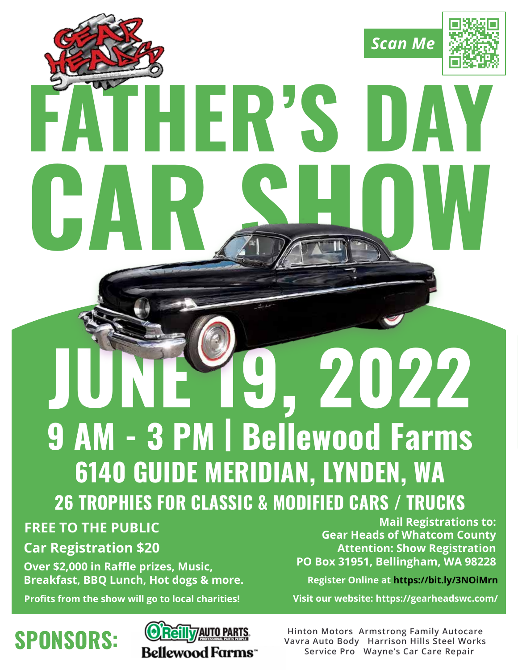

# **JUNE 19, 2022 9 AM - 3 PM | Bellewood Farms 6140 GUIDE MERIDIAN, LYNDEN, WA 26 TROPHIES FOR CLASSIC & MODIFIED CARS / TRUCKS**

### **FREE TO THE PUBLIC**

**Car Registration \$20**

**Over \$2,000 in Raffle prizes, Music, Breakfast, BBQ Lunch, Hot dogs & more.**

**Profits from the show will go to local charities!**

## **SPONSORS:**



**Mail Registrations to: Gear Heads of Whatcom County Attention: Show Registration PO Box 31951, Bellingham, WA 98228**

**Register Online at https://bit.ly/3NOiMrn**

**Visit our website: https://gearheadswc.com/**

**Hinton Motors Armstrong Family Autocare Vavra Auto Body Harrison Hills Steel Works Service Pro Wayne's Car Care Repair**